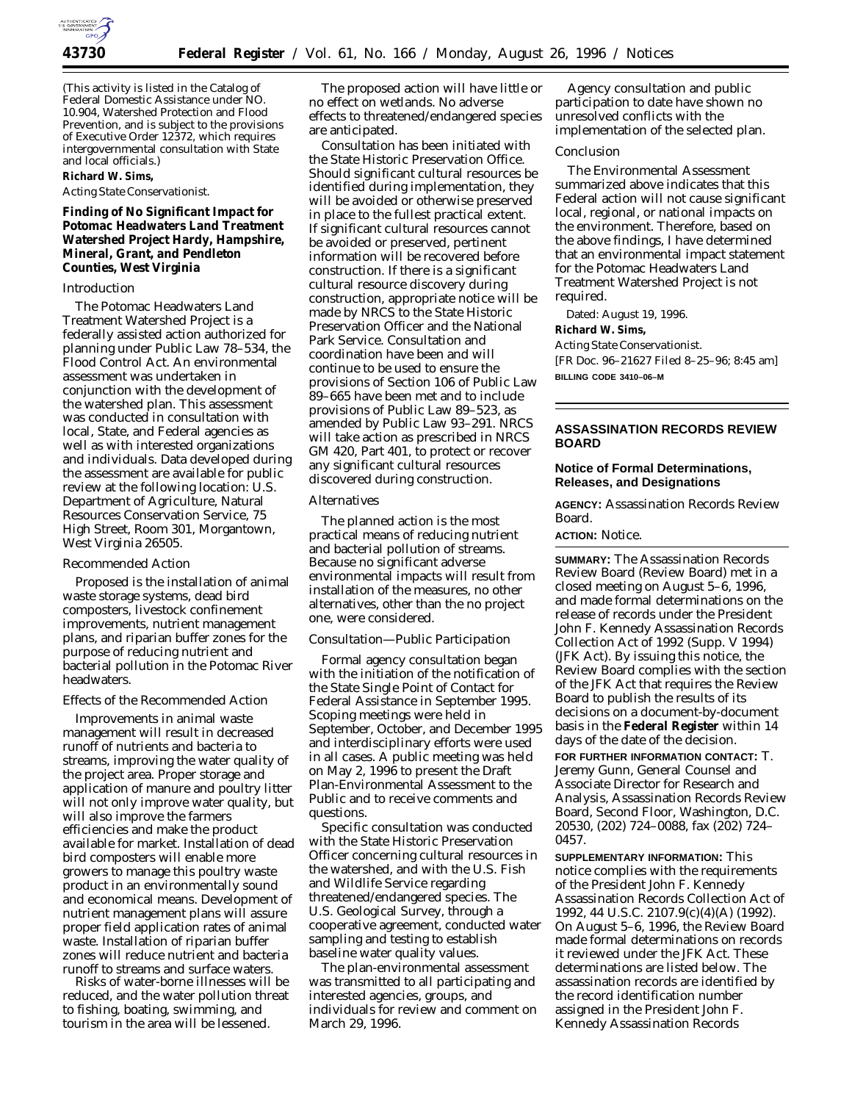

(This activity is listed in the Catalog of Federal Domestic Assistance under NO. 10.904, Watershed Protection and Flood Prevention, and is subject to the provisions of Executive Order 12372, which requires intergovernmental consultation with State and local officials.)

# **Richard W. Sims,**

## *Acting State Conservationist.*

**Finding of No Significant Impact for Potomac Headwaters Land Treatment Watershed Project Hardy, Hampshire, Mineral, Grant, and Pendleton Counties, West Virginia**

### *Introduction*

The Potomac Headwaters Land Treatment Watershed Project is a federally assisted action authorized for planning under Public Law 78–534, the Flood Control Act. An environmental assessment was undertaken in conjunction with the development of the watershed plan. This assessment was conducted in consultation with local, State, and Federal agencies as well as with interested organizations and individuals. Data developed during the assessment are available for public review at the following location: U.S. Department of Agriculture, Natural Resources Conservation Service, 75 High Street, Room 301, Morgantown, West Virginia 26505.

### *Recommended Action*

Proposed is the installation of animal waste storage systems, dead bird composters, livestock confinement improvements, nutrient management plans, and riparian buffer zones for the purpose of reducing nutrient and bacterial pollution in the Potomac River headwaters.

### *Effects of the Recommended Action*

Improvements in animal waste management will result in decreased runoff of nutrients and bacteria to streams, improving the water quality of the project area. Proper storage and application of manure and poultry litter will not only improve water quality, but will also improve the farmers efficiencies and make the product available for market. Installation of dead bird composters will enable more growers to manage this poultry waste product in an environmentally sound and economical means. Development of nutrient management plans will assure proper field application rates of animal waste. Installation of riparian buffer zones will reduce nutrient and bacteria runoff to streams and surface waters.

Risks of water-borne illnesses will be reduced, and the water pollution threat to fishing, boating, swimming, and tourism in the area will be lessened.

The proposed action will have little or no effect on wetlands. No adverse effects to threatened/endangered species are anticipated.

Consultation has been initiated with the State Historic Preservation Office. Should significant cultural resources be identified during implementation, they will be avoided or otherwise preserved in place to the fullest practical extent. If significant cultural resources cannot be avoided or preserved, pertinent information will be recovered before construction. If there is a significant cultural resource discovery during construction, appropriate notice will be made by NRCS to the State Historic Preservation Officer and the National Park Service. Consultation and coordination have been and will continue to be used to ensure the provisions of Section 106 of Public Law 89–665 have been met and to include provisions of Public Law 89–523, as amended by Public Law 93–291. NRCS will take action as prescribed in NRCS GM 420, Part 401, to protect or recover any significant cultural resources discovered during construction.

#### *Alternatives*

The planned action is the most practical means of reducing nutrient and bacterial pollution of streams. Because no significant adverse environmental impacts will result from installation of the measures, no other alternatives, other than the no project one, were considered.

## *Consultation—Public Participation*

Formal agency consultation began with the initiation of the notification of the State Single Point of Contact for Federal Assistance in September 1995. Scoping meetings were held in September, October, and December 1995 and interdisciplinary efforts were used in all cases. A public meeting was held on May 2, 1996 to present the Draft Plan-Environmental Assessment to the Public and to receive comments and questions.

Specific consultation was conducted with the State Historic Preservation Officer concerning cultural resources in the watershed, and with the U.S. Fish and Wildlife Service regarding threatened/endangered species. The U.S. Geological Survey, through a cooperative agreement, conducted water sampling and testing to establish baseline water quality values.

The plan-environmental assessment was transmitted to all participating and interested agencies, groups, and individuals for review and comment on March 29, 1996.

Agency consultation and public participation to date have shown no unresolved conflicts with the implementation of the selected plan.

## *Conclusion*

The Environmental Assessment summarized above indicates that this Federal action will not cause significant local, regional, or national impacts on the environment. Therefore, based on the above findings, I have determined that an environmental impact statement for the Potomac Headwaters Land Treatment Watershed Project is not required.

Dated: August 19, 1996. **Richard W. Sims,** *Acting State Conservationist.* [FR Doc. 96–21627 Filed 8–25–96; 8:45 am] **BILLING CODE 3410–06–M**

# **ASSASSINATION RECORDS REVIEW BOARD**

## **Notice of Formal Determinations, Releases, and Designations**

**AGENCY:** Assassination Records Review Board.

### **ACTION:** Notice.

**SUMMARY:** The Assassination Records Review Board (Review Board) met in a closed meeting on August 5–6, 1996, and made formal determinations on the release of records under the President John F. Kennedy Assassination Records Collection Act of 1992 (Supp. V 1994) (JFK Act). By issuing this notice, the Review Board complies with the section of the JFK Act that requires the Review Board to publish the results of its decisions on a document-by-document basis in the **Federal Register** within 14 days of the date of the decision.

**FOR FURTHER INFORMATION CONTACT:** T. Jeremy Gunn, General Counsel and Associate Director for Research and Analysis, Assassination Records Review Board, Second Floor, Washington, D.C. 20530, (202) 724–0088, fax (202) 724– 0457.

**SUPPLEMENTARY INFORMATION:** This notice complies with the requirements of the President John F. Kennedy Assassination Records Collection Act of 1992, 44 U.S.C. 2107.9(c)(4)(A) (1992). On August 5–6, 1996, the Review Board made formal determinations on records it reviewed under the JFK Act. These determinations are listed below. The assassination records are identified by the record identification number assigned in the President John F. Kennedy Assassination Records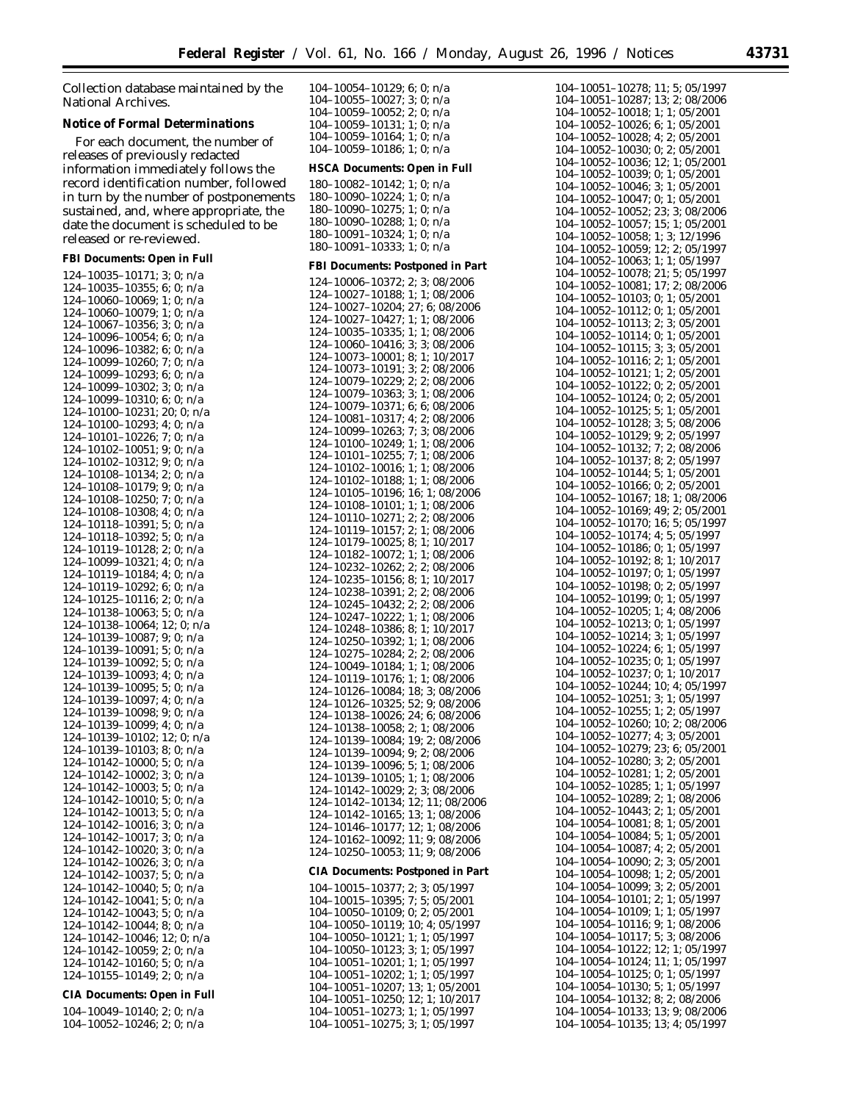Collection database maintained by the National Archives.

#### **Notice of Formal Determinations**

For each document, the number of releases of previously redacted information immediately follows the record identification number, followed in turn by the number of postponements sustained, and, where appropriate, the date the document is scheduled to be released or re-reviewed.

**FBI Documents: Open in Full**

| 124-10035-10171;                                                                                                                                                 | 3;<br>0;<br>n/a                    |
|------------------------------------------------------------------------------------------------------------------------------------------------------------------|------------------------------------|
| 124–10035–10355;                                                                                                                                                 | 6;<br>0;<br>n/a                    |
| $-10039 - 10339,$<br>$-10060 - 10069;$<br>$-10060 - 10079;$<br>124-                                                                                              | 1;<br>0;<br>n/a                    |
| 124-                                                                                                                                                             | 1;<br>0;<br>n/a                    |
| $\frac{124 - 10000 - 10079}{124 - 10067 - 10356}$                                                                                                                | 3:<br>0;<br>n/a                    |
| $124-10007-10550,$<br>$124-10096-10054;$<br>$124-10096-10382;$<br>$124-10099-10260;$                                                                             | 6;<br>0;<br>n/a                    |
|                                                                                                                                                                  | 6;<br>0;<br>n/a                    |
|                                                                                                                                                                  | 7;<br>0;<br>n/a                    |
| $124 - 10099 - 10293;$<br>$124 - 10099 - 10302;$<br>$124 - 10099 - 10310;$                                                                                       | 6;<br>0;<br>n/a                    |
|                                                                                                                                                                  | 3:<br>0;<br>n/a                    |
|                                                                                                                                                                  | 6:<br>0:<br>n/a                    |
| 124–10100–10231;<br>124–10100–10293;                                                                                                                             | 20;<br>0;<br>n/a                   |
|                                                                                                                                                                  | 4;<br>0;<br>n/a                    |
| 124-10101-10226;                                                                                                                                                 | 7;<br>0;<br>n/a                    |
| 124-10102-10051;                                                                                                                                                 | 9:<br>0:<br>n/a                    |
| $124 - 10102 - 10312;$                                                                                                                                           | 9;<br>0:<br>n/a                    |
| 124-10108-10134;<br>$-10108-10179;$                                                                                                                              | 2;<br>0;<br>n/a                    |
| 124-                                                                                                                                                             | 9;<br>0;<br>n/a                    |
| 124–10108–10179;<br>124–10108–10250;<br>124–10108–10308;                                                                                                         | 7;<br>0:<br>n/a                    |
| $124 - 10118 - 10391;$                                                                                                                                           | 4:<br>0;<br>n/a                    |
|                                                                                                                                                                  | 5;<br>0;<br>n/a                    |
|                                                                                                                                                                  | 5;<br>0;<br>n/a                    |
| 124–10118–10392;<br>124–10119–10128;<br>124–10099–10321;                                                                                                         | 2:<br>0;<br>n/a<br>4:              |
|                                                                                                                                                                  | 0;<br>n/a                          |
| 124–10119–10184;<br>124–10119–10292;                                                                                                                             | 4;<br>0;<br>n/a                    |
| $124 - 10125 - 10116;$                                                                                                                                           | 6:<br>0;<br>n/a                    |
|                                                                                                                                                                  | 2;<br>0;<br>n/a<br>5;<br>0;<br>n/a |
|                                                                                                                                                                  |                                    |
| 124-10138-10063;                                                                                                                                                 |                                    |
|                                                                                                                                                                  | 12:<br>0;<br>n/a                   |
| $124 - 10138 - 10064;$<br>124–10139–10087;                                                                                                                       | 9;<br>0;<br>n/a                    |
| $-10139-10091;$<br>124-                                                                                                                                          | 5;<br>0;<br>n/a                    |
|                                                                                                                                                                  | 5;<br>0;<br>n/a                    |
|                                                                                                                                                                  | 4:<br>0;<br>n/a                    |
| $124 - 10139 - 10095;$                                                                                                                                           | 5;<br>0;<br>n/a                    |
|                                                                                                                                                                  | 4:<br>0;<br>n/a                    |
|                                                                                                                                                                  | 9:<br>0;<br>n/a                    |
| 124–10139–10097;<br>124–10139–10098;<br>124–10139–10099;                                                                                                         | 4;<br>0:<br>n/a                    |
| 124-10139-10102;                                                                                                                                                 | 12;<br>0;<br>n/a                   |
| 124-10139-10103;                                                                                                                                                 | 8;<br>0;<br>n/a                    |
|                                                                                                                                                                  | 5;<br>0;<br>n/a                    |
|                                                                                                                                                                  | 3:<br>0:<br>n/a                    |
|                                                                                                                                                                  | 5:<br>0:<br>n/a                    |
| $124 - 10142 - 10003;$<br>124–10142–10010;                                                                                                                       | 5;<br>0;<br>n/a                    |
| $-10142-10013;$<br>124                                                                                                                                           | 5;<br>0;<br>n/a                    |
|                                                                                                                                                                  | 3;<br>0;<br>n/a                    |
|                                                                                                                                                                  | 3:<br>0;<br>n/a                    |
| 124-10142-10020;                                                                                                                                                 | 3;<br>0;<br>n/a                    |
| 124-10142-10026;                                                                                                                                                 | 3;<br>0;<br>n/a                    |
| 124-10142-10037;                                                                                                                                                 | 5;<br>0;<br>n/a                    |
| 124-10142-10040;                                                                                                                                                 | 5;<br>0;<br>n/a                    |
|                                                                                                                                                                  | 5:<br>0;<br>n/a                    |
|                                                                                                                                                                  | 5;<br>0;<br>n/a                    |
|                                                                                                                                                                  | 8;<br>0;<br>n/a                    |
|                                                                                                                                                                  | 12;0;<br>n/a                       |
|                                                                                                                                                                  | 2;<br>0;<br>n/a                    |
| $124 - 10142 - 10040; \ 124 - 10142 - 10041; \ 124 - 10142 - 10043; \ 124 - 10142 - 10046; \ 124 - 10142 - 10059; \ 124 - 10142 - 10160; \ 124 - 10155 - 10149;$ | 5;<br>0;<br>n/a<br>2;<br>0;<br>n/a |

# **CIA Documents: Open in Full**

104–10049–10140; 2; 0; n/a 104–10052–10246; 2; 0; n/a

| 104–10054–10129; 6; 0; n/a<br>104–10055–10027; 3; 0; n/a<br>104–10059–10052; 2; 0; n/a<br>104–10059–10131; 1; 0; n/a                                                                                                                              |
|---------------------------------------------------------------------------------------------------------------------------------------------------------------------------------------------------------------------------------------------------|
|                                                                                                                                                                                                                                                   |
|                                                                                                                                                                                                                                                   |
| $104-10059-10164; 1; 0; n/a$                                                                                                                                                                                                                      |
| 104-10059-10186; 1; 0; n/a                                                                                                                                                                                                                        |
|                                                                                                                                                                                                                                                   |
| HSCA Documents: Open in Full                                                                                                                                                                                                                      |
| $180-10082-10142; 1; 0; n/a$<br>$180-10090-10224; 1; 0; n/a$                                                                                                                                                                                      |
|                                                                                                                                                                                                                                                   |
| 180-10090-10275; 1; 0; n/a                                                                                                                                                                                                                        |
| $180-10090-10288; 1; 0; n/a$                                                                                                                                                                                                                      |
| 180-10091-10324; 1; 0; n/a<br>180-10091-10333; 1; 0; n/a                                                                                                                                                                                          |
|                                                                                                                                                                                                                                                   |
| FBI Documents: Postponed in Part                                                                                                                                                                                                                  |
| 124-10006-10372; 2; 3; 08/2006                                                                                                                                                                                                                    |
|                                                                                                                                                                                                                                                   |
| 124-10027-10188; 1; 1; 08/2006<br>124-10027-10204; 27; 6; 08/2006                                                                                                                                                                                 |
|                                                                                                                                                                                                                                                   |
| $124-10027-10427; 1; 1; 08/2006$<br>124-10035-10335; 1; 1; 08/2006                                                                                                                                                                                |
| $124-10060-10416$ ; 3; 3; 08/2006                                                                                                                                                                                                                 |
| $124-10000-10410, 5, 3, 60, 600$<br>$124-10073-10191; 3; 2; 08/2006$<br>$124-10079-10229; 2; 2; 08/2006$                                                                                                                                          |
|                                                                                                                                                                                                                                                   |
|                                                                                                                                                                                                                                                   |
| $124-10079-10363; 3; 1; 08/2006$<br>$124-10079-10371; 6; 6; 08/2006$                                                                                                                                                                              |
| 124-10081-10317; 4; 2; 08/2006                                                                                                                                                                                                                    |
| 124-10099-10263; 7; 3; 08/2006                                                                                                                                                                                                                    |
| $124-10100-10249$ ; 1; 1; 08/2006<br>124-10101-10255; 7; 1; 08/2006                                                                                                                                                                               |
|                                                                                                                                                                                                                                                   |
| 124-10102-10016; 1; 1; 08/2006<br>124-10102-10188; 1; 1; 08/2006                                                                                                                                                                                  |
|                                                                                                                                                                                                                                                   |
| 124-10105-10196; 16; 1; 08/2006<br>124-10108-10101; 1; 1; 08/2006                                                                                                                                                                                 |
|                                                                                                                                                                                                                                                   |
| 124-10110-10271; 2; 2; 08/2006                                                                                                                                                                                                                    |
| $124-10119-10157; 2; 1; 08/2006$<br>$124-10179-10025; 8; 1; 10/2017$                                                                                                                                                                              |
|                                                                                                                                                                                                                                                   |
| $124-10182-10072$ ; 1; 1; 08/2006<br>124-10232-10262; 2; 2; 08/2006                                                                                                                                                                               |
|                                                                                                                                                                                                                                                   |
| $124-10235-10156$ ; 8; 1; 10/2017<br>124-10238-10391; 2; 2; 08/2006                                                                                                                                                                               |
| 124-10245-10432; 2; 2; 08/2006                                                                                                                                                                                                                    |
| 124-10247-10222; 1; 1; 08/2006                                                                                                                                                                                                                    |
| $124-10248-10386$ ; 8; 1; 10/2017                                                                                                                                                                                                                 |
| 124-10250-10392; 1; 1; 08/2006<br>124-10275-10284; 2; 2; 08/2006                                                                                                                                                                                  |
| 124-10049-10184; 1; 1; 08/2006                                                                                                                                                                                                                    |
|                                                                                                                                                                                                                                                   |
| 124-10119-10176; 1; 1; 08/2006<br>124-10126-10084; 18; 3; 08/2006                                                                                                                                                                                 |
| $124-10126-10325; 52; 9; 08/2006$<br>$124-10126-10325; 52; 9; 08/2006$<br>$124-10138-10026; 24; 6; 08/2006$<br>$124-10139-10084; 19; 2; 08/2006$<br>$124-10139-10094; 9; 2; 08/2006$<br>$124-10139-10096; 5; 1; 08/2006$<br>$124-10139-10$        |
|                                                                                                                                                                                                                                                   |
|                                                                                                                                                                                                                                                   |
|                                                                                                                                                                                                                                                   |
|                                                                                                                                                                                                                                                   |
| $\begin{array}{c} 5; \, 1; \, 08/2006 \\ 1; \, 1; \, 08/2006 \end{array}$                                                                                                                                                                         |
| $124 - 10139 - 10105$ ;<br>124-10142-10029;<br>2; 3; 08/2006                                                                                                                                                                                      |
| 124-10142-10134;<br>12; 11; 08/2006                                                                                                                                                                                                               |
| 124-10142-10165;<br>13;<br>1; 08/2006                                                                                                                                                                                                             |
| $124-10146-10177$ ; 12; 1; 08/2006<br>124-10162-10092; 11; 9; 08/2006                                                                                                                                                                             |
|                                                                                                                                                                                                                                                   |
| 124-10250-10053;<br>11: 9: 08/2006                                                                                                                                                                                                                |
|                                                                                                                                                                                                                                                   |
| CIA Documents: Postponed in Part                                                                                                                                                                                                                  |
| 104-10015-10377; 2; 3; 05/1997<br>104-10015-10395; 7; 5; 05/2001                                                                                                                                                                                  |
| 104-10050-10109; 0; 2; 05/2001                                                                                                                                                                                                                    |
| 104-10050-10119; 10; 4; 05/1997                                                                                                                                                                                                                   |
| 104-10050-10121; 1; 1; 05/1997                                                                                                                                                                                                                    |
| 104-10050-10123; 3; 1; 05/1997                                                                                                                                                                                                                    |
|                                                                                                                                                                                                                                                   |
|                                                                                                                                                                                                                                                   |
|                                                                                                                                                                                                                                                   |
|                                                                                                                                                                                                                                                   |
|                                                                                                                                                                                                                                                   |
| $104-10051-10123$ , $31$ , $105/1997$<br>$104-10051-10201$ ; 1; 1; 05/1997<br>$104-10051-10202$ ; 1; 1; 05/1997<br>$104-10051-10207$ ; 13; 1; 05/2001<br>$104-10051-10250$ ; 12; 1; 10/2017<br>$104-10051-10273$ ; 1; 1; 05/1997<br>$104-10051-1$ |

104–10051–10278; 11; 5; 05/1997 104–10051–10287; 13; 2; 08/2006 104–10052–10018; 1; 1; 05/2001 104–10052–10026; 6; 1; 05/2001 104–10052–10028; 4; 2; 05/2001 104–10052–10030; 0; 2; 05/2001 104–10052–10036; 12; 1; 05/2001 104–10052–10039; 0; 1; 05/2001 104–10052–10046; 3; 1; 05/2001 104–10052–10047; 0; 1; 05/2001 104–10052–10052; 23; 3; 08/2006 104–10052–10057; 15; 1; 05/2001 104–10052–10058; 1; 3; 12/1996 104–10052–10059; 12; 2; 05/1997 104–10052–10063; 1; 1; 05/1997 104–10052–10078; 21; 5; 05/1997 104–10052–10081; 17; 2; 08/2006 104–10052–10103; 0; 1; 05/2001 104–10052–10112; 0; 1; 05/2001 104–10052–10113; 2; 3; 05/2001 104–10052–10114; 0; 1; 05/2001 104–10052–10115; 3; 3; 05/2001 104–10052–10116; 2; 1; 05/2001 104–10052–10121; 1; 2; 05/2001 104–10052–10122; 0; 2; 05/2001 104–10052–10124; 0; 2; 05/2001 104–10052–10125; 5; 1; 05/2001 104–10052–10128; 3; 5; 08/2006 104–10052–10129; 9; 2; 05/1997 104–10052–10132; 7; 2; 08/2006 104–10052–10137; 8; 2; 05/1997 104–10052–10144; 5; 1; 05/2001 104–10052–10166; 0; 2; 05/2001 104–10052–10167; 18; 1; 08/2006 104–10052–10169; 49; 2; 05/2001 104–10052–10170; 16; 5; 05/1997 104–10052–10174; 4; 5; 05/1997 104–10052–10186; 0; 1; 05/1997 104–10052–10192; 8; 1; 10/2017 104–10052–10197; 0; 1; 05/1997 104–10052–10198; 0; 2; 05/1997 104–10052–10199; 0; 1; 05/1997 104–10052–10205; 1; 4; 08/2006 104–10052–10213; 0; 1; 05/1997 104–10052–10214; 3; 1; 05/1997 104–10052–10224; 6; 1; 05/1997 104–10052–10235; 0; 1; 05/1997 104–10052–10237; 0; 1; 10/2017 104–10052–10244; 10; 4; 05/1997 104–10052–10251; 3; 1; 05/1997 104–10052–10255; 1; 2; 05/1997 104–10052–10260; 10; 2; 08/2006 104–10052–10277; 4; 3; 05/2001 104–10052–10279; 23; 6; 05/2001 104–10052–10280; 3; 2; 05/2001 104–10052–10281; 1; 2; 05/2001 104–10052–10285; 1; 1; 05/1997 104–10052–10289; 2; 1; 08/2006 104–10052–10443; 2; 1; 05/2001 104–10054–10081; 8; 1; 05/2001 104–10054–10084; 5; 1; 05/2001 104–10054–10087; 4; 2; 05/2001 104–10054–10090; 2; 3; 05/2001 104–10054–10098; 1; 2; 05/2001 104–10054–10099; 3; 2; 05/2001 104–10054–10101; 2; 1; 05/1997 104–10054–10109; 1; 1; 05/1997 104–10054–10116; 9; 1; 08/2006 104–10054–10117; 5; 3; 08/2006 104–10054–10122; 12; 1; 05/1997 104–10054–10124; 11; 1; 05/1997 104–10054–10125; 0; 1; 05/1997 104–10054–10130; 5; 1; 05/1997 104–10054–10132; 8; 2; 08/2006 104–10054–10133; 13; 9; 08/2006 104–10054–10135; 13; 4; 05/1997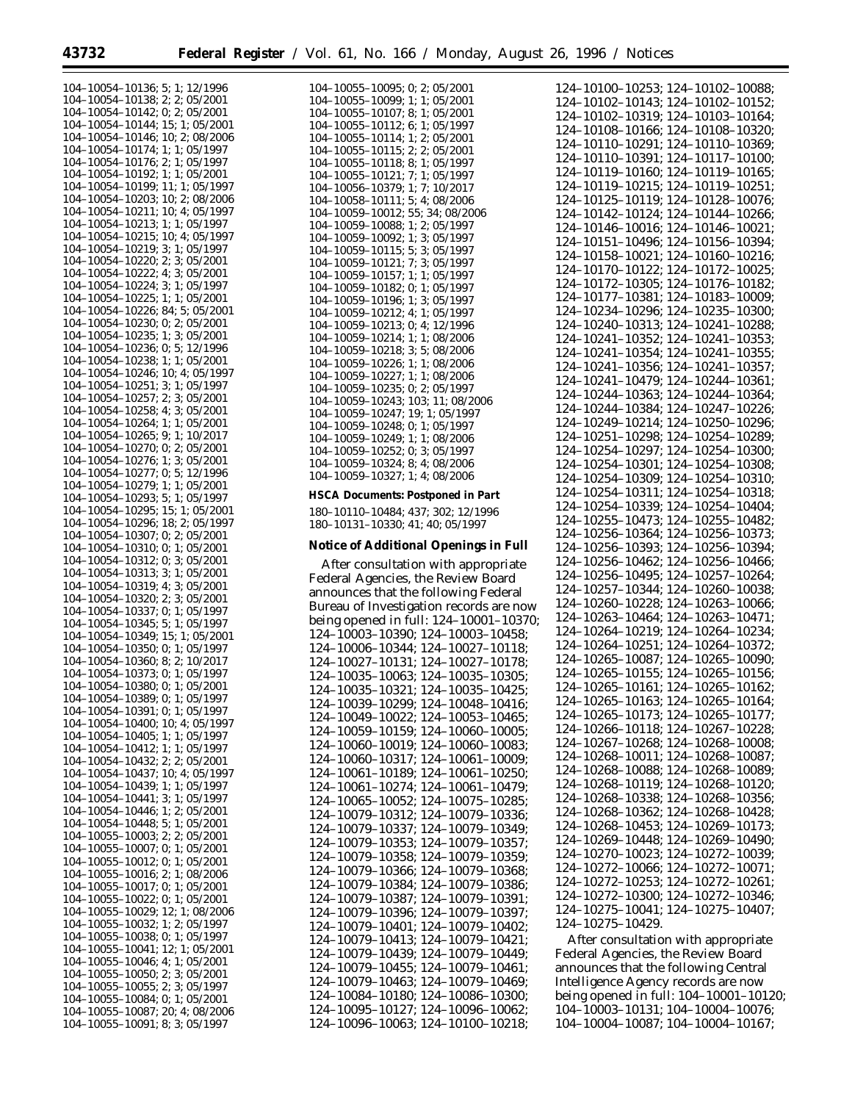| 104-10054-10136; 5; 1; 12/1996 |                                                                                                                                                                                                                              |
|--------------------------------|------------------------------------------------------------------------------------------------------------------------------------------------------------------------------------------------------------------------------|
|                                |                                                                                                                                                                                                                              |
|                                |                                                                                                                                                                                                                              |
|                                | 104-10054-10138; 2; 2; 05/2001                                                                                                                                                                                               |
|                                | 104-10054-10142; 0; 2; 05/2001                                                                                                                                                                                               |
|                                | 104-10054-10144; 15; 1; 05/2001                                                                                                                                                                                              |
|                                | $104-10054-10146$ ; 10; 2; 08/2006                                                                                                                                                                                           |
|                                |                                                                                                                                                                                                                              |
|                                |                                                                                                                                                                                                                              |
|                                | $104-10054-10149$ , $10, 2, 1007$<br>$104-10054-10176$ ; 2; 1; 05/1997<br>$104-10054-10176$ ; 2; 1; 05/1997<br>$104-10054-10199$ ; 1; 1; 05/2001<br>$104-10054-10203$ ; 10; 2; 08/2006<br>$104-10054-10203$ ; 10; 2; 08/2006 |
|                                |                                                                                                                                                                                                                              |
|                                |                                                                                                                                                                                                                              |
|                                |                                                                                                                                                                                                                              |
|                                |                                                                                                                                                                                                                              |
|                                |                                                                                                                                                                                                                              |
|                                | $104-10054-10211$ ; 10; 4; 05/1997                                                                                                                                                                                           |
|                                | $104-10054-10213$ ; 1; 1; 05/1997                                                                                                                                                                                            |
|                                |                                                                                                                                                                                                                              |
|                                | $104-10054-10215$ ; 10; 4; 05/1997<br>104-10054-10219; 3; 1; 05/1997                                                                                                                                                         |
|                                |                                                                                                                                                                                                                              |
|                                | 104-10054-10220; 2; 3; 05/2001                                                                                                                                                                                               |
|                                |                                                                                                                                                                                                                              |
|                                | 104-10054-10222; 4; 3; 05/2001                                                                                                                                                                                               |
|                                | $104-10054-10224$ ; 3; 1; 05/1997                                                                                                                                                                                            |
|                                | 104-10054-10225; 1; 1; 05/2001                                                                                                                                                                                               |
|                                |                                                                                                                                                                                                                              |
|                                | 104-10054-10226; 84; 5; 05/2001                                                                                                                                                                                              |
|                                | 104-10054-10230; 0; 2; 05/2001                                                                                                                                                                                               |
|                                | 104-10054-10235; 1; 3; 05/2001                                                                                                                                                                                               |
|                                |                                                                                                                                                                                                                              |
|                                | 104-10054-10236; 0; 5; 12/1996                                                                                                                                                                                               |
|                                | 104-10054-10238; 1; 1; 05/2001<br>104-10054-10246; 10; 4; 05/1997                                                                                                                                                            |
|                                |                                                                                                                                                                                                                              |
|                                |                                                                                                                                                                                                                              |
|                                | 104-10054-10251; 3; 1; 05/1997                                                                                                                                                                                               |
|                                | 104-10054-10257; 2; 3; 05/2001                                                                                                                                                                                               |
|                                |                                                                                                                                                                                                                              |
|                                | 104-10054-10258; 4; 3; 05/2001                                                                                                                                                                                               |
|                                | 104-10054-10264; 1; 1; 05/2001                                                                                                                                                                                               |
|                                | 104-10054-10265; 9; 1; 10/2017                                                                                                                                                                                               |
|                                | 104-10054-10270; 0; 2; 05/2001                                                                                                                                                                                               |
|                                |                                                                                                                                                                                                                              |
|                                | 104-10054-10276; 1; 3; 05/2001                                                                                                                                                                                               |
|                                | $104-10054-10277$ ; 0; 5; 12/1996                                                                                                                                                                                            |
|                                |                                                                                                                                                                                                                              |
|                                | 104-10054-10279; 1; 1; 05/2001                                                                                                                                                                                               |
|                                | 104-10054-10293; 5; 1; 05/1997                                                                                                                                                                                               |
|                                |                                                                                                                                                                                                                              |
|                                | 104-10054-10295; 15; 1; 05/2001<br>104-10054-10296; 18; 2; 05/1997                                                                                                                                                           |
|                                |                                                                                                                                                                                                                              |
|                                | 104-10054-10307; 0; 2; 05/2001                                                                                                                                                                                               |
|                                | 104-10054-10310; 0; 1; 05/2001                                                                                                                                                                                               |
|                                | 104-10054-10312; 0; 3; 05/2001                                                                                                                                                                                               |
|                                |                                                                                                                                                                                                                              |
|                                | 104-10054-10313; 3; 1; 05/2001                                                                                                                                                                                               |
|                                | 104-10054-10319; 4; 3; 05/2001                                                                                                                                                                                               |
|                                | 104-10054-10320; 2; 3; 05/2001                                                                                                                                                                                               |
|                                |                                                                                                                                                                                                                              |
|                                |                                                                                                                                                                                                                              |
|                                | 104-10054-10337; 0; 1; 05/1997                                                                                                                                                                                               |
|                                |                                                                                                                                                                                                                              |
|                                | 104-10054-10345; 5; 1; 05/1997                                                                                                                                                                                               |
|                                | 104-10054-10349; 15; 1; 05/2001                                                                                                                                                                                              |
|                                | 104-10054-10350; 0; 1; 05/1997                                                                                                                                                                                               |
|                                |                                                                                                                                                                                                                              |
|                                | 104-10054-10360; 8; 2; 10/2017                                                                                                                                                                                               |
|                                | 104-10054-10373; 0; 1; 05/1997                                                                                                                                                                                               |
|                                | 104-10054-10380; 0; 1; 05/2001                                                                                                                                                                                               |
|                                |                                                                                                                                                                                                                              |
|                                | 104-10054-10389; 0; 1; 05/1997                                                                                                                                                                                               |
|                                | 104-10054-10391; 0; 1; 05/1997                                                                                                                                                                                               |
| 104-10054-10400;               | 10; 4; 05/1997                                                                                                                                                                                                               |
| 104-10054-10405; 1;            | 1;05/1997                                                                                                                                                                                                                    |
|                                |                                                                                                                                                                                                                              |
| 104-10054-10412; 1;            | 1;05/1997                                                                                                                                                                                                                    |
|                                | 104-10054-10432; 2; 2; 05/2001                                                                                                                                                                                               |
| 104-10054-10437;               | 10; 4; 05/1997                                                                                                                                                                                                               |
|                                |                                                                                                                                                                                                                              |
| 104-10054-10439;               | 1; 1; 05/1997                                                                                                                                                                                                                |
| $104 - 10054 - 10441;$         | 3:<br>1; 05/1997                                                                                                                                                                                                             |
| 104-10054-10446;               | 1; 2; 05/2001                                                                                                                                                                                                                |
|                                |                                                                                                                                                                                                                              |
| 104-10054-10448;               | 5;<br>1;05/2001                                                                                                                                                                                                              |
| 104-10055-10003;               | 2; 2; 05/2001                                                                                                                                                                                                                |
| 104-10055-10007;               | 1:05/2001<br>0:                                                                                                                                                                                                              |
| 104-10055-10012;               | 0:<br>1;05/2001                                                                                                                                                                                                              |
|                                |                                                                                                                                                                                                                              |
| 104-10055-10016;               | 2:<br>1;08/2006                                                                                                                                                                                                              |
| 104-10055-10017;               | 0;<br>1;05/2001                                                                                                                                                                                                              |
|                                | 104-10055-10022; 0; 1; 05/2001                                                                                                                                                                                               |
|                                |                                                                                                                                                                                                                              |
| 104-10055-10029;               | 12; 1; 08/2006                                                                                                                                                                                                               |
|                                | 104-10055-10032; 1; 2; 05/1997                                                                                                                                                                                               |
|                                | 104-10055-10038; 0; 1; 05/1997                                                                                                                                                                                               |
|                                |                                                                                                                                                                                                                              |
|                                | 104-10055-10041; 12; 1; 05/2001                                                                                                                                                                                              |
|                                | 104-10055-10046; 4; 1; 05/2001                                                                                                                                                                                               |
|                                | 104-10055-10050; 2; 3; 05/2001                                                                                                                                                                                               |
|                                | 104-10055-10055; 2; 3; 05/1997                                                                                                                                                                                               |
|                                |                                                                                                                                                                                                                              |
|                                | 104-10055-10084; 0; 1; 05/2001                                                                                                                                                                                               |
|                                | 104-10055-10087; 20; 4; 08/2006<br>104-10055-10091; 8; 3; 05/1997                                                                                                                                                            |

| 104-10055-10095; 0; 2; 05/2001                                               |
|------------------------------------------------------------------------------|
| 104-10055-10099; 1; 1; 05/2001                                               |
| 104-10055-10107; 8; 1; 05/2001                                               |
| 104–10055–10112; 6; 1; 05/1997                                               |
| 104-10055-10114; 1; 2; 05/2001                                               |
| 104-10055-10115; 2; 2; 05/2001                                               |
| 104-10055-10118; 8; 1; 05/1997                                               |
| 104-10055-10121; 7; 1; 05/1997                                               |
|                                                                              |
| 104-10056-10379; 1; 7; 10/2017                                               |
| 104-10058-10111; 5; 4; 08/2006                                               |
| 104-10059-10012; 55; 34; 08/2006                                             |
| 104-10059-10088; 1; 2; 05/1997                                               |
| 104-10059-10092; 1; 3; 05/1997                                               |
| 104-10059-10115; 5; 3; 05/1997                                               |
| 104-10059-10121; 7; 3; 05/1997                                               |
| 104-10059-10157; 1; 1; 05/1997                                               |
| 104-10059-10182; 0; 1; 05/1997                                               |
| 104-10059-10196; 1; 3; 05/1997                                               |
|                                                                              |
| 104-10059-10212; 4; 1; 05/1997                                               |
| 104-10059-10213; 0; 4; 12/1996                                               |
| 104-10059-10214; 1; 1; 08/2006                                               |
| 104-10059-10218; 3; 5; 08/2006                                               |
| 104-10059-10226; 1; 1; 08/2006                                               |
| 104-10059-10227; 1; 1; 08/2006                                               |
| 104-10059-10235; 0; 2; 05/1997                                               |
| 104-10059-10243; 103; 11; 08/2006                                            |
| 104-10059-10247; 19; 1; 05/1997                                              |
| 104-10059-10248; 0; 1; 05/1997                                               |
| 104-10059-10249; 1; 1; 08/2006                                               |
|                                                                              |
| 104-10059-10252; 0; 3; 05/1997                                               |
|                                                                              |
| 104-10059-10324; 8; 4; 08/2006                                               |
| 104-10059-10327; 1; 4; 08/2006                                               |
|                                                                              |
| HSCA Documents: Postponed in Part                                            |
| 180-10110-10484; 437; 302; 12/1996                                           |
| 180-10131-10330; 41; 40; 05/1997                                             |
|                                                                              |
| Notice of Additional Openings in Full                                        |
|                                                                              |
| After consultation with appropriate                                          |
| Federal Agencies, the Review Board                                           |
| announces that the following Federal                                         |
|                                                                              |
| Bureau of Investigation records are now                                      |
| being opened in full: 124-10001-10370;                                       |
| 124-10003-10390; 124-10003-10458;                                            |
| 124-10006-10344; 124-10027-10118;                                            |
|                                                                              |
|                                                                              |
| 124-10027-10131; 124-10027-10178;<br>124-10035-10063; 124-10035-10305;       |
| 124-10035-10321; 124-10035-10425;                                            |
| 124-10039-10299;<br>124-10048-10416;                                         |
| 124-10049-10022;<br>$124 - 10053 - 10465$ ;                                  |
| 124-10059-10159;<br>124-10060-10005;                                         |
|                                                                              |
| 124-10060-10019;<br>124-10060-10083;                                         |
| 124-10060-10317;<br>124-10061-10009;                                         |
| 124-10061-10189:<br>124-10061-10250;                                         |
| 124-10061-10274;<br>124-10061-10479;                                         |
| 124-10065-10052;<br>124-10075-10285;                                         |
|                                                                              |
| 124-10079-10312;<br>124-10079-10336;                                         |
| 124-10079-10337;<br>124-10079-10349;                                         |
| 124-10079-10353;<br>124-10079-10357;                                         |
| 124-10079-10358;<br>124-10079-10359;<br>124-10079-10366;<br>124-10079-10368; |

124–10079–10384; 124–10079–10386; 124–10079–10387; 124–10079–10391; 124–10079–10396; 124–10079–10397; 124–10079–10401; 124–10079–10402; 124–10079–10413; 124–10079–10421; 124–10079–10439; 124–10079–10449; 124–10079–10455; 124–10079–10461; 124–10079–10463; 124–10079–10469; 124–10084–10180; 124–10086–10300; 124–10095–10127; 124–10096–10062; 124–10096–10063; 124–10100–10218;

124–10100–10253; 124–10102–10088; 124–10102–10143; 124–10102–10152; 124–10102–10319; 124–10103–10164; 124–10108–10166; 124–10108–10320; 124–10110–10291; 124–10110–10369; 124–10110–10391; 124–10117–10100; 124–10119–10160; 124–10119–10165; 124–10119–10215; 124–10119–10251; 124–10125–10119; 124–10128–10076; 124–10142–10124; 124–10144–10266; 124–10146–10016; 124–10146–10021; 124–10151–10496; 124–10156–10394; 124–10158–10021; 124–10160–10216; 124–10170–10122; 124–10172–10025; 124–10172–10305; 124–10176–10182; 124–10177–10381; 124–10183–10009; 124–10234–10296; 124–10235–10300; 124–10240–10313; 124–10241–10288; 124–10241–10352; 124–10241–10353; 124–10241–10354; 124–10241–10355; 124–10241–10356; 124–10241–10357; 124–10241–10479; 124–10244–10361; 124–10244–10363; 124–10244–10364; 124–10244–10384; 124–10247–10226; 124–10249–10214; 124–10250–10296; 124–10251–10298; 124–10254–10289; 124–10254–10297; 124–10254–10300; 124–10254–10301; 124–10254–10308; 124–10254–10309; 124–10254–10310; 124–10254–10311; 124–10254–10318; 124–10254–10339; 124–10254–10404; 124–10255–10473; 124–10255–10482; 124–10256–10364; 124–10256–10373; 124–10256–10393; 124–10256–10394; 124–10256–10462; 124–10256–10466; 124–10256–10495; 124–10257–10264; 124–10257–10344; 124–10260–10038; 124–10260–10228; 124–10263–10066; 124–10263–10464; 124–10263–10471; 124–10264–10219; 124–10264–10234; 124–10264–10251; 124–10264–10372; 124–10265–10087; 124–10265–10090; 124–10265–10155; 124–10265–10156; 124–10265–10161; 124–10265–10162; 124–10265–10163; 124–10265–10164; 124–10265–10173; 124–10265–10177; 124–10266–10118; 124–10267–10228; 124–10267–10268; 124–10268–10008; 124–10268–10011; 124–10268–10087; 124–10268–10088; 124–10268–10089; 124–10268–10119; 124–10268–10120; 124–10268–10338; 124–10268–10356; 124–10268–10362; 124–10268–10428; 124–10268–10453; 124–10269–10173; 124–10269–10448; 124–10269–10490; 124–10270–10023; 124–10272–10039; 124–10272–10066; 124–10272–10071; 124–10272–10253; 124–10272–10261; 124–10272–10300; 124–10272–10346; 124–10275–10041; 124–10275–10407; 124–10275–10429.

After consultation with appropriate Federal Agencies, the Review Board announces that the following Central Intelligence Agency records are now being opened in full: 104–10001–10120; 104–10003–10131; 104–10004–10076; 104–10004–10087; 104–10004–10167;